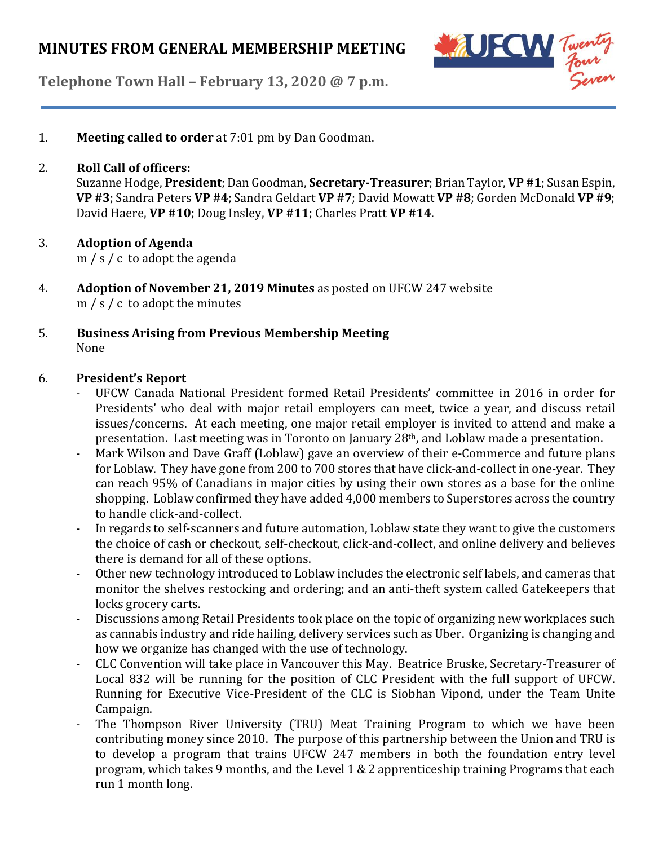

**Telephone Town Hall – February 13, 2020 @ 7 p.m.**

1. **Meeting called to order** at 7:01 pm by Dan Goodman.

### 2. **Roll Call of officers:**

Suzanne Hodge, **President**; Dan Goodman, **Secretary-Treasurer**; Brian Taylor, **VP #1**;Susan Espin, **VP #3**; Sandra Peters **VP #4**; Sandra Geldart **VP #7**; David Mowatt **VP #8**; Gorden McDonald **VP #9**; David Haere, **VP #10**; Doug Insley, **VP #11**; Charles Pratt **VP #14**.

## 3. **Adoption of Agenda**

m / s / c to adopt the agenda

- 4. **Adoption of November 21, 2019 Minutes** as posted on UFCW 247 website m / s / c to adopt the minutes
- 5. **Business Arising from Previous Membership Meeting** None

### 6. **President's Report**

- UFCW Canada National President formed Retail Presidents' committee in 2016 in order for Presidents' who deal with major retail employers can meet, twice a year, and discuss retail issues/concerns. At each meeting, one major retail employer is invited to attend and make a presentation. Last meeting was in Toronto on January 28th, and Loblaw made a presentation.
- Mark Wilson and Dave Graff (Loblaw) gave an overview of their e-Commerce and future plans for Loblaw. They have gone from 200 to 700 stores that have click-and-collect in one-year. They can reach 95% of Canadians in major cities by using their own stores as a base for the online shopping. Loblaw confirmed they have added 4,000 members to Superstores across the country to handle click-and-collect.
- In regards to self-scanners and future automation, Loblaw state they want to give the customers the choice of cash or checkout, self-checkout, click-and-collect, and online delivery and believes there is demand for all of these options.
- Other new technology introduced to Loblaw includes the electronic self labels, and cameras that monitor the shelves restocking and ordering; and an anti-theft system called Gatekeepers that locks grocery carts.
- Discussions among Retail Presidents took place on the topic of organizing new workplaces such as cannabis industry and ride hailing, delivery services such as Uber. Organizing is changing and how we organize has changed with the use of technology.
- CLC Convention will take place in Vancouver this May. Beatrice Bruske, Secretary-Treasurer of Local 832 will be running for the position of CLC President with the full support of UFCW. Running for Executive Vice-President of the CLC is Siobhan Vipond, under the Team Unite Campaign.
- The Thompson River University (TRU) Meat Training Program to which we have been contributing money since 2010. The purpose of this partnership between the Union and TRU is to develop a program that trains UFCW 247 members in both the foundation entry level program, which takes 9 months, and the Level 1 & 2 apprenticeship training Programs that each run 1 month long.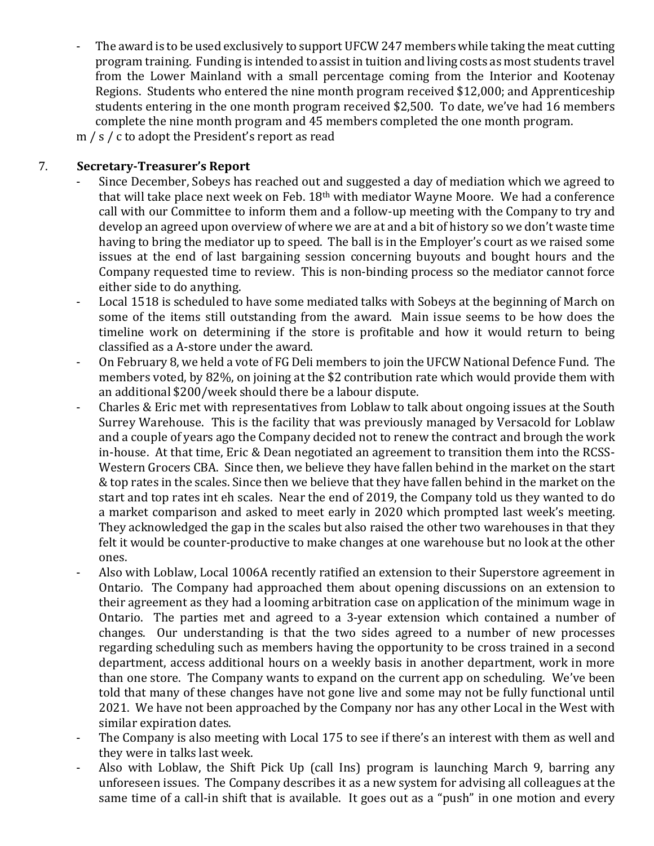The award is to be used exclusively to support UFCW 247 members while taking the meat cutting program training. Funding is intended to assistin tuition and living costs as most students travel from the Lower Mainland with a small percentage coming from the Interior and Kootenay Regions. Students who entered the nine month program received \$12,000; and Apprenticeship students entering in the one month program received \$2,500. To date, we've had 16 members complete the nine month program and 45 members completed the one month program.

m / s / c to adopt the President's report as read

## 7. **Secretary-Treasurer's Report**

- Since December, Sobeys has reached out and suggested a day of mediation which we agreed to that will take place next week on Feb. 18th with mediator Wayne Moore. We had a conference call with our Committee to inform them and a follow-up meeting with the Company to try and develop an agreed upon overview of where we are at and a bit of history so we don't waste time having to bring the mediator up to speed. The ball is in the Employer's court as we raised some issues at the end of last bargaining session concerning buyouts and bought hours and the Company requested time to review. This is non-binding process so the mediator cannot force either side to do anything.
- Local 1518 is scheduled to have some mediated talks with Sobeys at the beginning of March on some of the items still outstanding from the award. Main issue seems to be how does the timeline work on determining if the store is profitable and how it would return to being classified as a A-store under the award.
- On February 8, we held a vote of FG Deli members to join the UFCW National Defence Fund. The members voted, by 82%, on joining at the \$2 contribution rate which would provide them with an additional \$200/week should there be a labour dispute.
- Charles & Eric met with representatives from Loblaw to talk about ongoing issues at the South Surrey Warehouse. This is the facility that was previously managed by Versacold for Loblaw and a couple of years ago the Company decided not to renew the contract and brough the work in-house. At that time, Eric & Dean negotiated an agreement to transition them into the RCSS-Western Grocers CBA. Since then, we believe they have fallen behind in the market on the start & top rates in the scales. Since then we believe that they have fallen behind in the market on the start and top rates int eh scales. Near the end of 2019, the Company told us they wanted to do a market comparison and asked to meet early in 2020 which prompted last week's meeting. They acknowledged the gap in the scales but also raised the other two warehouses in that they felt it would be counter-productive to make changes at one warehouse but no look at the other ones.
- Also with Loblaw, Local 1006A recently ratified an extension to their Superstore agreement in Ontario. The Company had approached them about opening discussions on an extension to their agreement as they had a looming arbitration case on application of the minimum wage in Ontario. The parties met and agreed to a 3-year extension which contained a number of changes. Our understanding is that the two sides agreed to a number of new processes regarding scheduling such as members having the opportunity to be cross trained in a second department, access additional hours on a weekly basis in another department, work in more than one store. The Company wants to expand on the current app on scheduling. We've been told that many of these changes have not gone live and some may not be fully functional until 2021. We have not been approached by the Company nor has any other Local in the West with similar expiration dates.
- The Company is also meeting with Local 175 to see if there's an interest with them as well and they were in talks last week.
- Also with Loblaw, the Shift Pick Up (call Ins) program is launching March 9, barring any unforeseen issues. The Company describes it as a new system for advising all colleagues at the same time of a call-in shift that is available. It goes out as a "push" in one motion and every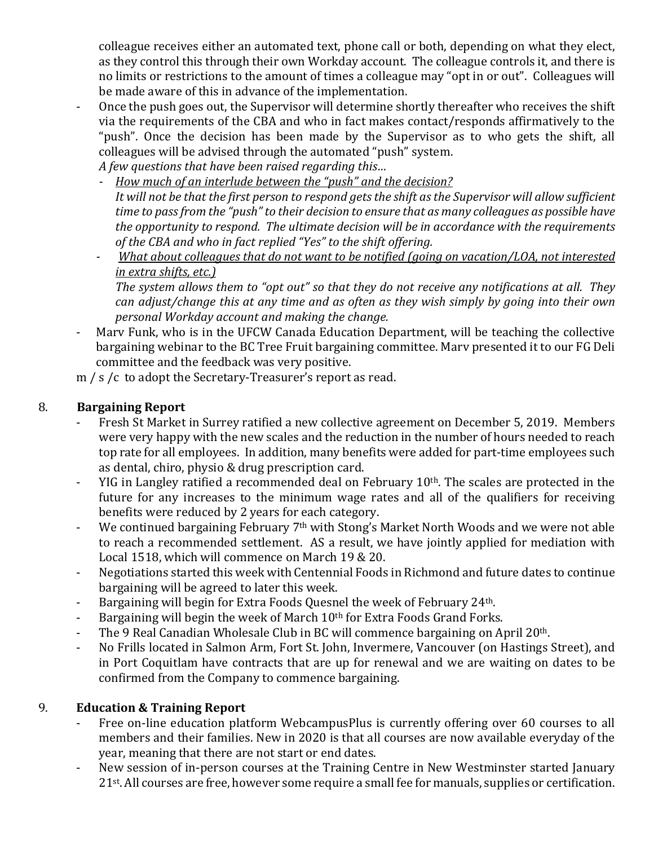colleague receives either an automated text, phone call or both, depending on what they elect, as they control this through their own Workday account. The colleague controls it, and there is no limits or restrictions to the amount of times a colleague may "opt in or out". Colleagues will be made aware of this in advance of the implementation.

- Once the push goes out, the Supervisor will determine shortly thereafter who receives the shift via the requirements of the CBA and who in fact makes contact/responds affirmatively to the "push". Once the decision has been made by the Supervisor as to who gets the shift, all colleagues will be advised through the automated "push" system.

*A few questions that have been raised regarding this…*

- *- How much of an interlude between the "push" and the decision? It will not be that the first person to respond getsthe shift asthe Supervisor will allow sufficient* time to pass from the "push" to their decision to ensure that as many colleagues as possible have *the opportunity to respond. The ultimate decision will be in accordance with the requirements of the CBA and who in fact replied "Yes" to the shift offering.*
- *- What about colleagues that do not want to be notified (going on vacation/LOA, not interested in extra shifts, etc.)*

*The system allows them to "opt out" so that they do not receive any notifications at all. They can adjust/change this at any time and as often as they wish simply by going into their own personal Workday account and making the change.*

- Marv Funk, who is in the UFCW Canada Education Department, will be teaching the collective bargaining webinar to the BC Tree Fruit bargaining committee. Marv presented it to our FG Deli committee and the feedback was very positive.

m / s /c to adopt the Secretary-Treasurer's report as read.

# 8. **Bargaining Report**

- Fresh St Market in Surrey ratified a new collective agreement on December 5, 2019. Members were very happy with the new scales and the reduction in the number of hours needed to reach top rate for all employees. In addition, many benefits were added for part-time employees such as dental, chiro, physio & drug prescription card.
- YIG in Langley ratified a recommended deal on February  $10<sup>th</sup>$ . The scales are protected in the future for any increases to the minimum wage rates and all of the qualifiers for receiving benefits were reduced by 2 years for each category.
- We continued bargaining February 7th with Stong's Market North Woods and we were not able to reach a recommended settlement. AS a result, we have jointly applied for mediation with Local 1518, which will commence on March 19 & 20.
- Negotiations started this week with Centennial Foods in Richmond and future dates to continue bargaining will be agreed to later this week.
- Bargaining will begin for Extra Foods Quesnel the week of February 24<sup>th</sup>.
- Bargaining will begin the week of March 10<sup>th</sup> for Extra Foods Grand Forks.
- The 9 Real Canadian Wholesale Club in BC will commence bargaining on April 20<sup>th</sup>.
- No Frills located in Salmon Arm, Fort St. John, Invermere, Vancouver (on Hastings Street), and in Port Coquitlam have contracts that are up for renewal and we are waiting on dates to be confirmed from the Company to commence bargaining.

# 9. **Education & Training Report**

- Free on-line education platform WebcampusPlus is currently offering over 60 courses to all members and their families. New in 2020 is that all courses are now available everyday of the year, meaning that there are not start or end dates.
- New session of in-person courses at the Training Centre in New Westminster started January 21<sup>st</sup>. All courses are free, however some require a small fee for manuals, supplies or certification.